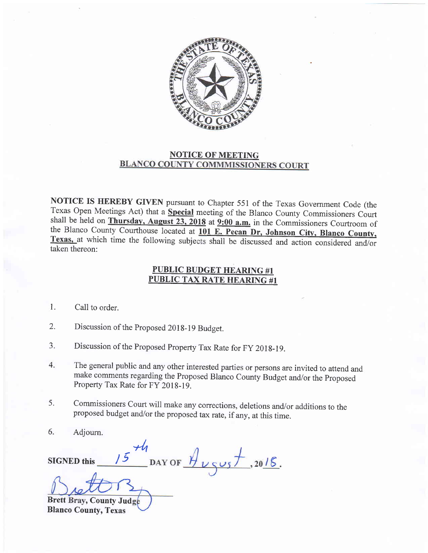

## NOTICE OF MEETING<br>BLANCO COUNTY COMMMISSIONERS COURT

NOTICE IS HEREBY GIVEN pursuant to Chapter 551 of the Texas Government Code (the Texas Open Meetings Act) that a **Special** meeting of the Blanco County Commissioners Court shall be held on **Thursday, August 23, 2018** at **9:00 a.m.** in the Commissioners Courtroom of the Blanco County Courthouse located at 101 E. Pecan Dr, Johnson City, Blanco County, Texas, at which time the following subjects shall be discussed and action considered and/or taken thereon:

## PUBLIC BUDGET HEARING #1 PUBLIC TAX RATE HEARING #1

- l. Call to order.
- 2. Discussion of the Proposed 2018-19 Budget.
- 5. Discussion of the Proposed Property Tax Rate for FY 2018-19.
- 4. The general public and any other interested parties or persons are invited to attend and make comments regarding the Proposed Blanco County Budget and/or the Proposed Property Tax Rate for FY 2018-19.
- 5. Commissioners Court will make any corrections, deletions and/or additions to the proposed budget and/or the proposed tax rate, if any, at this time.
- 6. Adiourn.

SIGNED this  $\frac{\mu}{\mu}$ DAY OF  $\frac{\mu}{\mu}$ <sub>V S</sub>us + , 20<u>/6</u>. /5

Brett Bray, County Jud Blanco County, Texas